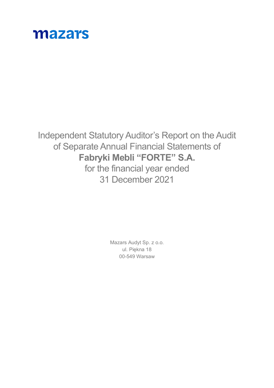

Independent Statutory Auditor's Report on the Audit of Separate Annual Financial Statements of **Fabryki Mebli "FORTE" S.A.** for the financial year ended 31 December 2021

> Mazars Audyt Sp. z o.o. ul. Piękna 18 00-549 Warsaw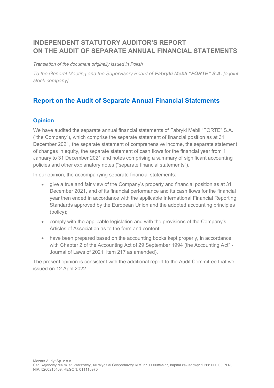# **INDEPENDENT STATUTORY AUDITOR'S REPORT ON THE AUDIT OF SEPARATE ANNUAL FINANCIAL STATEMENTS**

*Translation of the document originally issued in Polish*

*To the General Meeting and the Supervisory Board of Fabryki Mebli "FORTE" S.A. [a joint stock company]*

# **Report on the Audit of Separate Annual Financial Statements**

# **Opinion**

We have audited the separate annual financial statements of Fabryki Mebli "FORTE" S.A. ("the Company"), which comprise the separate statement of financial position as at 31 December 2021, the separate statement of comprehensive income, the separate statement of changes in equity, the separate statement of cash flows for the financial year from 1 January to 31 December 2021 and notes comprising a summary of significant accounting policies and other explanatory notes ("separate financial statements").

In our opinion, the accompanying separate financial statements:

- give a true and fair view of the Company's property and financial position as at 31 December 2021, and of its financial performance and its cash flows for the financial year then ended in accordance with the applicable International Financial Reporting Standards approved by the European Union and the adopted accounting principles (policy);
- comply with the applicable legislation and with the provisions of the Company's Articles of Association as to the form and content;
- have been prepared based on the accounting books kept properly, in accordance with Chapter 2 of the Accounting Act of 29 September 1994 (the Accounting Act" - Journal of Laws of 2021, item 217 as amended).

The present opinion is consistent with the additional report to the Audit Committee that we issued on 12 April 2022.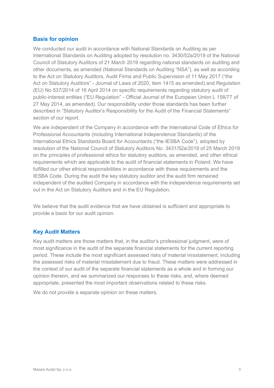### **Basis for opinion**

We conducted our audit in accordance with National Standards on Auditing as per International Standards on Auditing adopted by resolution no. 3430/52a/2019 of the National Council of Statutory Auditors of 21 March 2019 regarding national standards on auditing and other documents, as amended (National Standards on Auditing "NSA"), as well as according to the Act on Statutory Auditors, Audit Firms and Public Supervision of 11 May 2017 ("the Act on Statutory Auditors" - Journal of Laws of 2020, item 1415 as amended) and Regulation (EU) No 537/2014 of 16 April 2014 on specific requirements regarding statutory audit of public-interest entities ("EU Regulation" - Official Journal of the European Union L 158/77 of 27 May 2014, as amended). Our responsibility under those standards has been further described in "Statutory Auditor's Responsibility for the Audit of the Financial Statements" section of our report.

We are independent of the Company in accordance with the International Code of Ethics for Professional Accountants (including International Independence Standards) of the International Ethics Standards Board for Accountants ("the IESBA Code"), adopted by resolution of the National Council of Statutory Auditors No. 3431/52a/2019 of 25 March 2019 on the principles of professional ethics for statutory auditors, as amended, and other ethical requirements which are applicable to the audit of financial statements in Poland. We have fulfilled our other ethical responsibilities in accordance with these requirements and the IESBA Code. During the audit the key statutory auditor and the audit firm remained independent of the audited Company in accordance with the independence requirements set out in the Act on Statutory Auditors and in the EU Regulation.

We believe that the audit evidence that we have obtained is sufficient and appropriate to provide a basis for our audit opinion.

### **Key Audit Matters**

Key audit matters are those matters that, in the auditor's professional judgment, were of most significance in the audit of the separate financial statements for the current reporting period. These include the most significant assessed risks of material misstatement, including the assessed risks of material misstatement due to fraud. These matters were addressed in the context of our audit of the separate financial statements as a whole and in forming our opinion thereon, and we summarized our responses to these risks, and, where deemed appropriate, presented the most important observations related to these risks.

We do not provide a separate opinion on these matters.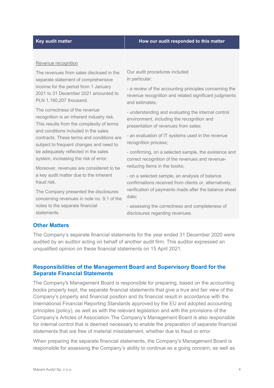#### **Key audit matter How our audit responded to this matter**

#### Revenue recognition

The revenues from sales disclosed in the separate statement of comprehensive income for the period from 1 January 2021 to 31 December 2021 amounted to PLN 1,160,207 thousand.

The correctness of the revenue recognition is an inherent industry risk. This results from the complexity of terms and conditions included in the sales contracts. These terms and conditions are subject to frequent changes and need to be adequately reflected in the sales system, increasing the risk of error.

Moreover, revenues are considered to be a key audit matter due to the inherent fraud risk.

The Company presented the disclosures concerning revenues in note no. 9.1 of the notes to the separate financial statements.

Our audit procedures included in particular:

- a review of the accounting principles concerning the revenue recognition and related significant judgments and estimates;

- understanding and evaluating the internal control environment, including the recognition and presentation of revenues from sales;

- an evaluation of IT systems used in the revenue recognition process;

- confirming, on a selected sample, the existence and correct recognition of the revenues and revenuereducing items in the books;

- on a selected sample, an analysis of balance confirmations received from clients or, alternatively, verification of payments made after the balance sheet date;

- assessing the correctness and completeness of disclosures regarding revenues.

#### **Other Matters**

The Company's separate financial statements for the year ended 31 December 2020 were audited by an auditor acting on behalf of another audit firm. This auditor expressed an unqualified opinion on these financial statements on 15 April 2021.

#### **Responsibilities of the Management Board and Supervisory Board for the Separate Financial Statements**

The Company's Management Board is responsible for preparing, based on the accounting books properly kept, the separate financial statements that give a true and fair view of the Company's property and financial position and its financial result in accordance with the International Financial Reporting Standards approved by the EU and adopted accounting principles (policy), as well as with the relevant legislation and with the provisions of the Company's Articles of Association.The Company's Management Board is also responsible for internal control that is deemed necessary to enable the preparation of separate financial statements that are free of material misstatement, whether due to fraud or error.

When preparing the separate financial statements, the Company's Management Board is responsible for assessing the Company's ability to continue as a going concern, as well as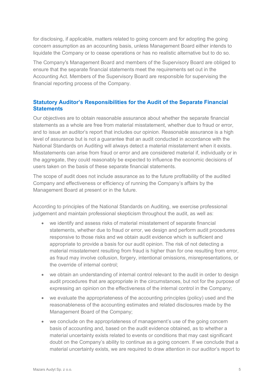for disclosing, if applicable, matters related to going concern and for adopting the going concern assumption as an accounting basis, unless Management Board either intends to liquidate the Company or to cease operations or has no realistic alternative but to do so.

The Company's Management Board and members of the Supervisory Board are obliged to ensure that the separate financial statements meet the requirements set out in the Accounting Act. Members of the Supervisory Board are responsible for supervising the financial reporting process of the Company.

## **Statutory Auditor's Responsibilities for the Audit of the Separate Financial Statements**

Our objectives are to obtain reasonable assurance about whether the separate financial statements as a whole are free from material misstatement, whether due to fraud or error, and to issue an auditor's report that includes our opinion. Reasonable assurance is a high level of assurance but is not a guarantee that an audit conducted in accordance with the National Standards on Auditing will always detect a material misstatement when it exists. Misstatements can arise from fraud or error and are considered material if, individually or in the aggregate, they could reasonably be expected to influence the economic decisions of users taken on the basis of these separate financial statements.

The scope of audit does not include assurance as to the future profitability of the audited Company and effectiveness or efficiency of running the Company's affairs by the Management Board at present or in the future.

According to principles of the National Standards on Auditing, we exercise professional judgement and maintain professional skepticism throughout the audit, as well as:

- we identify and assess risks of material misstatement of separate financial statements, whether due to fraud or error, we design and perform audit procedures responsive to those risks and we obtain audit evidence which is sufficient and appropriate to provide a basis for our audit opinion. The risk of not detecting a material misstatement resulting from fraud is higher than for one resulting from error, as fraud may involve collusion, forgery, intentional omissions, misrepresentations, or the override of internal control;
- we obtain an understanding of internal control relevant to the audit in order to design audit procedures that are appropriate in the circumstances, but not for the purpose of expressing an opinion on the effectiveness of the internal control in the Company;
- we evaluate the appropriateness of the accounting principles (policy) used and the reasonableness of the accounting estimates and related disclosures made by the Management Board of the Company;
- we conclude on the appropriateness of management's use of the going concern basis of accounting and, based on the audit evidence obtained, as to whether a material uncertainty exists related to events or conditions that may cast significant doubt on the Company's ability to continue as a going concern. If we conclude that a material uncertainty exists, we are required to draw attention in our auditor's report to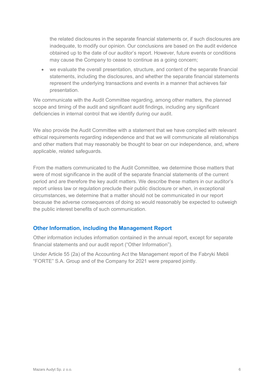the related disclosures in the separate financial statements or, if such disclosures are inadequate, to modify our opinion. Our conclusions are based on the audit evidence obtained up to the date of our auditor's report. However, future events or conditions may cause the Company to cease to continue as a going concern;

• we evaluate the overall presentation, structure, and content of the separate financial statements, including the disclosures, and whether the separate financial statements represent the underlying transactions and events in a manner that achieves fair presentation.

We communicate with the Audit Committee regarding, among other matters, the planned scope and timing of the audit and significant audit findings, including any significant deficiencies in internal control that we identify during our audit.

We also provide the Audit Committee with a statement that we have complied with relevant ethical requirements regarding independence and that we will communicate all relationships and other matters that may reasonably be thought to bear on our independence, and, where applicable, related safeguards.

From the matters communicated to the Audit Committee, we determine those matters that were of most significance in the audit of the separate financial statements of the current period and are therefore the key audit matters. We describe these matters in our auditor's report unless law or regulation preclude their public disclosure or when, in exceptional circumstances, we determine that a matter should not be communicated in our report because the adverse consequences of doing so would reasonably be expected to outweigh the public interest benefits of such communication.

### **Other Information, including the Management Report**

Other information includes information contained in the annual report, except for separate financial statements and our audit report ("Other Information").

Under Article 55 (2a) of the Accounting Act the Management report of the Fabryki Mebli "FORTE" S.A. Group and of the Company for 2021 were prepared jointly.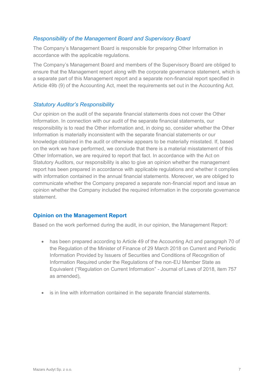## *Responsibility of the Management Board and Supervisory Board*

The Company's Management Board is responsible for preparing Other Information in accordance with the applicable regulations.

The Company's Management Board and members of the Supervisory Board are obliged to ensure that the Management report along with the corporate governance statement, which is a separate part of this Management report and a separate non-financial report specified in Article 49b (9) of the Accounting Act, meet the requirements set out in the Accounting Act.

### *Statutory Auditor's Responsibility*

Our opinion on the audit of the separate financial statements does not cover the Other Information. In connection with our audit of the separate financial statements, our responsibility is to read the Other information and, in doing so, consider whether the Other Information is materially inconsistent with the separate financial statements or our knowledge obtained in the audit or otherwise appears to be materially misstated. If, based on the work we have performed, we conclude that there is a material misstatement of this Other Information, we are required to report that fact. In accordance with the Act on Statutory Auditors, our responsibility is also to give an opinion whether the management report has been prepared in accordance with applicable regulations and whether it complies with information contained in the annual financial statements. Moreover, we are obliged to communicate whether the Company prepared a separate non-financial report and issue an opinion whether the Company included the required information in the corporate governance statement.

# **Opinion on the Management Report**

Based on the work performed during the audit, in our opinion, the Management Report:

- has been prepared according to Article 49 of the Accounting Act and paragraph 70 of the Regulation of the Minister of Finance of 29 March 2018 on Current and Periodic Information Provided by Issuers of Securities and Conditions of Recognition of Information Required under the Regulations of the non-EU Member State as Equivalent ("Regulation on Current Information" - Journal of Laws of 2018, item 757 as amended),
- is in line with information contained in the separate financial statements.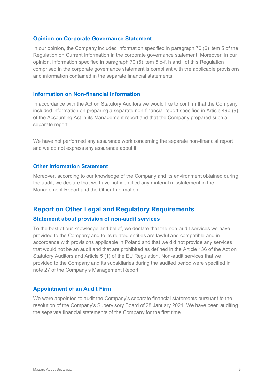#### **Opinion on Corporate Governance Statement**

In our opinion, the Company included information specified in paragraph 70 (6) item 5 of the Regulation on Current Information in the corporate governance statement. Moreover, in our opinion, information specified in paragraph 70 (6) item 5 c-f, h and i of this Regulation comprised in the corporate governance statement is compliant with the applicable provisions and information contained in the separate financial statements.

#### **Information on Non-financial Information**

In accordance with the Act on Statutory Auditors we would like to confirm that the Company included information on preparing a separate non-financial report specified in Article 49b (9) of the Accounting Act in its Management report and that the Company prepared such a separate report.

We have not performed any assurance work concerning the separate non-financial report and we do not express any assurance about it.

#### **Other Information Statement**

Moreover, according to our knowledge of the Company and its environment obtained during the audit, we declare that we have not identified any material misstatement in the Management Report and the Other Information.

# **Report on Other Legal and Regulatory Requirements**

#### **Statement about provision of non-audit services**

To the best of our knowledge and belief, we declare that the non-audit services we have provided to the Company and to its related entities are lawful and compatible and in accordance with provisions applicable in Poland and that we did not provide any services that would not be an audit and that are prohibited as defined in the Article 136 of the Act on Statutory Auditors and Article 5 (1) of the EU Regulation. Non-audit services that we provided to the Company and its subsidiaries during the audited period were specified in note 27 of the Company's Management Report.

### **Appointment of an Audit Firm**

We were appointed to audit the Company's separate financial statements pursuant to the resolution of the Company's Supervisory Board of 28 January 2021. We have been auditing the separate financial statements of the Company for the first time.